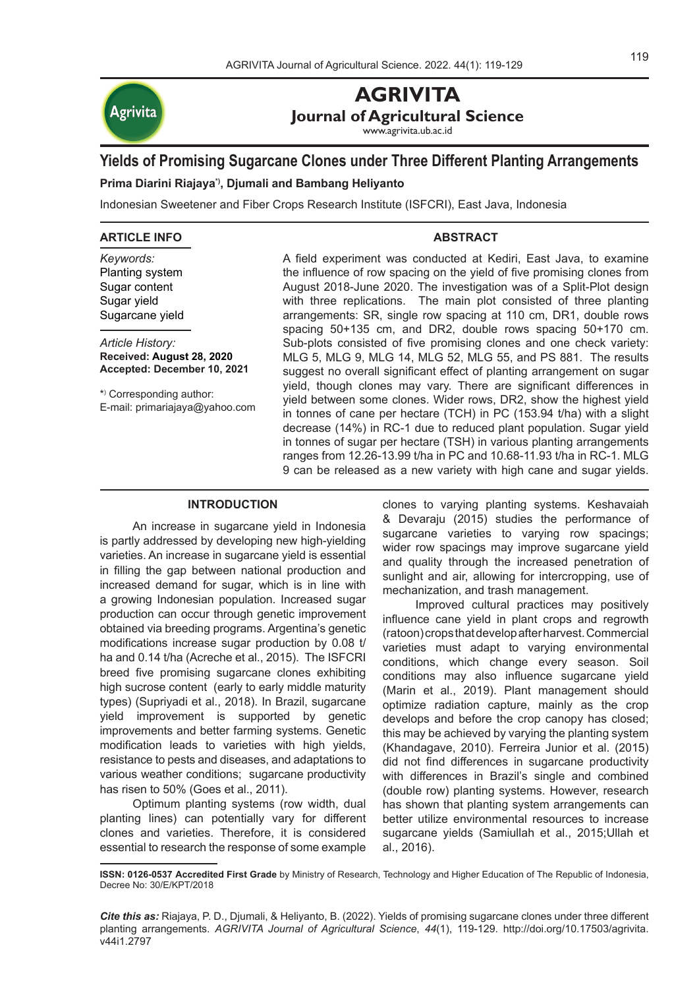

# **AGRIVITA Journal of Agricultural Science**

www.agrivita.ub.ac.id

# **Yields of Promising Sugarcane Clones under Three Different Planting Arrangements**

# **Prima Diarini Riajaya\*), Djumali and Bambang Heliyanto**

Indonesian Sweetener and Fiber Crops Research Institute (ISFCRI), East Java, Indonesia

#### **ARTICLE INFO**

*Keywords:* Planting system Sugar content Sugar yield Sugarcane yield

*Article History:* **Received: August 28, 2020 Accepted: December 10, 2021**

\*) Corresponding author: E-mail: primariajaya@yahoo.com A field experiment was conducted at Kediri, East Java, to examine the influence of row spacing on the yield of five promising clones from August 2018-June 2020. The investigation was of a Split-Plot design with three replications. The main plot consisted of three planting arrangements: SR, single row spacing at 110 cm, DR1, double rows spacing 50+135 cm, and DR2, double rows spacing 50+170 cm. Sub-plots consisted of five promising clones and one check variety: MLG 5, MLG 9, MLG 14, MLG 52, MLG 55, and PS 881. The results suggest no overall significant effect of planting arrangement on sugar yield, though clones may vary. There are significant differences in yield between some clones. Wider rows, DR2, show the highest yield in tonnes of cane per hectare (TCH) in PC (153.94 t/ha) with a slight decrease (14%) in RC-1 due to reduced plant population. Sugar yield in tonnes of sugar per hectare (TSH) in various planting arrangements ranges from 12.26-13.99 t/ha in PC and 10.68-11.93 t/ha in RC-1. MLG 9 can be released as a new variety with high cane and sugar yields.

**ABSTRACT** 

## **INTRODUCTION**

An increase in sugarcane yield in Indonesia is partly addressed by developing new high-yielding varieties. An increase in sugarcane yield is essential in filling the gap between national production and increased demand for sugar, which is in line with a growing Indonesian population. Increased sugar production can occur through genetic improvement obtained via breeding programs. Argentina's genetic modifications increase sugar production by 0.08 t/ ha and 0.14 t/ha (Acreche et al., 2015). The ISFCRI breed five promising sugarcane clones exhibiting high sucrose content (early to early middle maturity types) (Supriyadi et al., 2018). In Brazil, sugarcane yield improvement is supported by genetic improvements and better farming systems. Genetic modification leads to varieties with high yields, resistance to pests and diseases, and adaptations to various weather conditions; sugarcane productivity has risen to 50% (Goes et al., 2011).

Optimum planting systems (row width, dual planting lines) can potentially vary for different clones and varieties. Therefore, it is considered essential to research the response of some example clones to varying planting systems. Keshavaiah & Devaraju (2015) studies the performance of sugarcane varieties to varying row spacings; wider row spacings may improve sugarcane yield and quality through the increased penetration of sunlight and air, allowing for intercropping, use of mechanization, and trash management.

Improved cultural practices may positively influence cane yield in plant crops and regrowth (ratoon) crops that develop after harvest. Commercial varieties must adapt to varying environmental conditions, which change every season. Soil conditions may also influence sugarcane yield (Marin et al., 2019). Plant management should optimize radiation capture, mainly as the crop develops and before the crop canopy has closed; this may be achieved by varying the planting system (Khandagave, 2010). Ferreira Junior et al. (2015) did not find differences in sugarcane productivity with differences in Brazil's single and combined (double row) planting systems. However, research has shown that planting system arrangements can better utilize environmental resources to increase sugarcane yields (Samiullah et al., 2015;Ullah et al., 2016).

**ISSN: 0126-0537 Accredited First Grade** by Ministry of Research, Technology and Higher Education of The Republic of Indonesia, Decree No: 30/E/KPT/2018

*Cite this as:* Riajaya, P. D., Djumali, & Heliyanto, B. (2022). Yields of promising sugarcane clones under three different planting arrangements. *AGRIVITA Journal of Agricultural Science*, *44*(1), 119-129. http://doi.org/10.17503/agrivita. v44i1.2797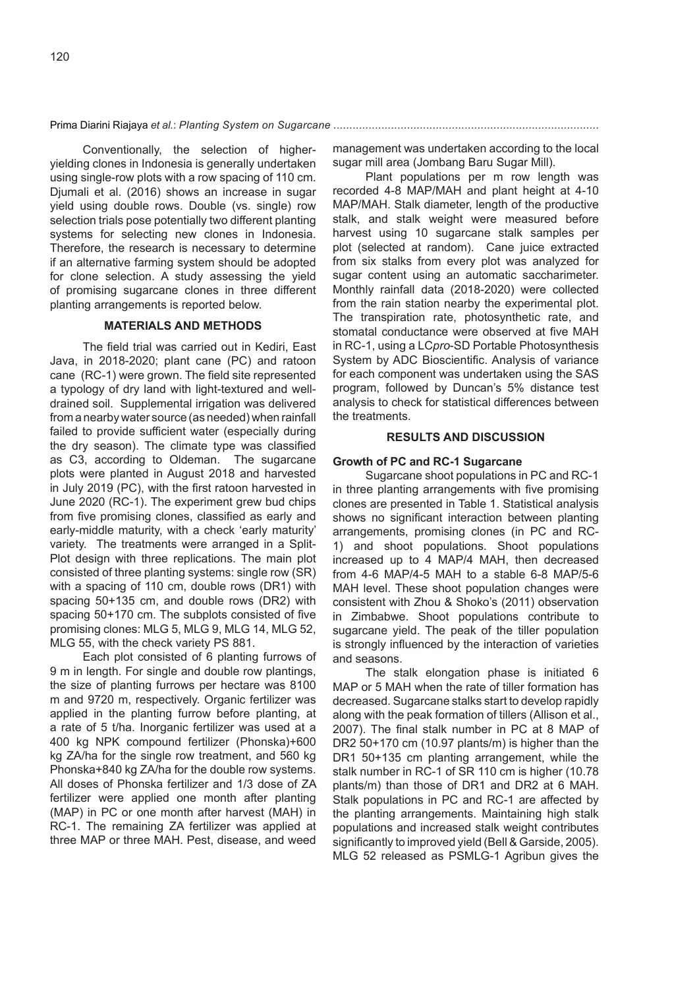Conventionally, the selection of higheryielding clones in Indonesia is generally undertaken using single-row plots with a row spacing of 110 cm. Djumali et al. (2016) shows an increase in sugar yield using double rows. Double (vs. single) row selection trials pose potentially two different planting systems for selecting new clones in Indonesia. Therefore, the research is necessary to determine if an alternative farming system should be adopted for clone selection. A study assessing the yield of promising sugarcane clones in three different planting arrangements is reported below.

## **MATERIALS AND METHODS**

The field trial was carried out in Kediri, East Java, in 2018-2020; plant cane (PC) and ratoon cane (RC-1) were grown. The field site represented a typology of dry land with light-textured and welldrained soil. Supplemental irrigation was delivered from a nearby water source (as needed) when rainfall failed to provide sufficient water (especially during the dry season). The climate type was classified as C3, according to Oldeman. The sugarcane plots were planted in August 2018 and harvested in July 2019 (PC), with the first ratoon harvested in June 2020 (RC-1). The experiment grew bud chips from five promising clones, classified as early and early-middle maturity, with a check 'early maturity' variety. The treatments were arranged in a Split-Plot design with three replications. The main plot consisted of three planting systems: single row (SR) with a spacing of 110 cm, double rows (DR1) with spacing 50+135 cm, and double rows (DR2) with spacing 50+170 cm. The subplots consisted of five promising clones: MLG 5, MLG 9, MLG 14, MLG 52, MLG 55, with the check variety PS 881.

Each plot consisted of 6 planting furrows of 9 m in length. For single and double row plantings, the size of planting furrows per hectare was 8100 m and 9720 m, respectively. Organic fertilizer was applied in the planting furrow before planting, at a rate of 5 t/ha. Inorganic fertilizer was used at a 400 kg NPK compound fertilizer (Phonska)+600 kg ZA/ha for the single row treatment, and 560 kg Phonska+840 kg ZA/ha for the double row systems. All doses of Phonska fertilizer and 1/3 dose of ZA fertilizer were applied one month after planting (MAP) in PC or one month after harvest (MAH) in RC-1. The remaining ZA fertilizer was applied at three MAP or three MAH. Pest, disease, and weed

management was undertaken according to the local sugar mill area (Jombang Baru Sugar Mill).

Plant populations per m row length was recorded 4-8 MAP/MAH and plant height at 4-10 MAP/MAH. Stalk diameter, length of the productive stalk, and stalk weight were measured before harvest using 10 sugarcane stalk samples per plot (selected at random). Cane juice extracted from six stalks from every plot was analyzed for sugar content using an automatic saccharimeter. Monthly rainfall data (2018-2020) were collected from the rain station nearby the experimental plot. The transpiration rate, photosynthetic rate, and stomatal conductance were observed at five MAH in RC-1, using a LC*pro*-SD Portable Photosynthesis System by ADC Bioscientific. Analysis of variance for each component was undertaken using the SAS program, followed by Duncan's 5% distance test analysis to check for statistical differences between the treatments.

#### **RESULTS AND DISCUSSION**

#### **Growth of PC and RC-1 Sugarcane**

Sugarcane shoot populations in PC and RC-1 in three planting arrangements with five promising clones are presented in Table 1. Statistical analysis shows no significant interaction between planting arrangements, promising clones (in PC and RC-1) and shoot populations. Shoot populations increased up to 4 MAP/4 MAH, then decreased from 4-6 MAP/4-5 MAH to a stable 6-8 MAP/5-6 MAH level. These shoot population changes were consistent with Zhou & Shoko's (2011) observation in Zimbabwe. Shoot populations contribute to sugarcane yield. The peak of the tiller population is strongly influenced by the interaction of varieties and seasons.

The stalk elongation phase is initiated 6 MAP or 5 MAH when the rate of tiller formation has decreased. Sugarcane stalks start to develop rapidly along with the peak formation of tillers (Allison et al., 2007). The final stalk number in PC at 8 MAP of DR2 50+170 cm (10.97 plants/m) is higher than the DR1 50+135 cm planting arrangement, while the stalk number in RC-1 of SR 110 cm is higher (10.78 plants/m) than those of DR1 and DR2 at 6 MAH. Stalk populations in PC and RC-1 are affected by the planting arrangements. Maintaining high stalk populations and increased stalk weight contributes significantly to improved yield (Bell & Garside, 2005). MLG 52 released as PSMLG-1 Agribun gives the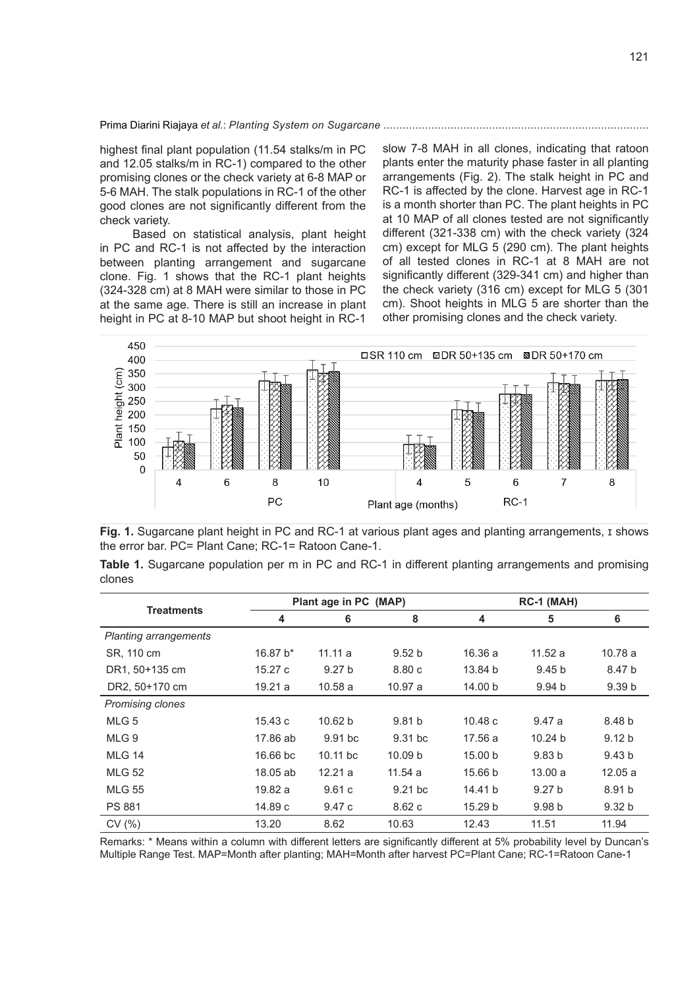highest final plant population (11.54 stalks/m in PC and 12.05 stalks/m in RC-1) compared to the other promising clones or the check variety at 6-8 MAP or 5-6 MAH. The stalk populations in RC-1 of the other good clones are not significantly different from the check variety.

Based on statistical analysis, plant height in PC and RC-1 is not affected by the interaction between planting arrangement and sugarcane clone. Fig. 1 shows that the RC-1 plant heights (324-328 cm) at 8 MAH were similar to those in PC at the same age. There is still an increase in plant height in PC at 8-10 MAP but shoot height in RC-1 slow 7-8 MAH in all clones, indicating that ratoon plants enter the maturity phase faster in all planting arrangements (Fig. 2). The stalk height in PC and RC-1 is affected by the clone. Harvest age in RC-1 is a month shorter than PC. The plant heights in PC at 10 MAP of all clones tested are not significantly different (321-338 cm) with the check variety (324 cm) except for MLG 5 (290 cm). The plant heights of all tested clones in RC-1 at 8 MAH are not significantly different (329-341 cm) and higher than the check variety (316 cm) except for MLG 5 (301 cm). Shoot heights in MLG 5 are shorter than the other promising clones and the check variety.



**Fig. 1.** Sugarcane plant height in PC and RC-1 at various plant ages and planting arrangements, ɪ shows the error bar. PC= Plant Cane; RC-1= Ratoon Cane-1.

|        |  |  |  |  | <b>Table 1.</b> Sugarcane population per m in PC and RC-1 in different planting arrangements and promising |  |
|--------|--|--|--|--|------------------------------------------------------------------------------------------------------------|--|
| clones |  |  |  |  |                                                                                                            |  |

|                              |            | Plant age in PC (MAP) |                    |         | RC-1 (MAH)         |                   |  |  |
|------------------------------|------------|-----------------------|--------------------|---------|--------------------|-------------------|--|--|
| <b>Treatments</b>            | 4          | 6                     | 8                  | 4       | 5                  | 6                 |  |  |
| <b>Planting arrangements</b> |            |                       |                    |         |                    |                   |  |  |
| SR, 110 cm                   | 16.87 b*   | 11.11a                | 9.52 <sub>b</sub>  | 16.36a  | 11.52a             | 10.78a            |  |  |
| DR1, 50+135 cm               | 15.27c     | 9.27 <sub>b</sub>     | 8.80c              | 13.84 b | 9.45 <sub>b</sub>  | 8.47 b            |  |  |
| DR2, 50+170 cm               | 19.21 a    | 10.58a                | 10.97 a            | 14.00 b | 9.94 <sub>b</sub>  | 9.39 <sub>b</sub> |  |  |
| Promising clones             |            |                       |                    |         |                    |                   |  |  |
| MLG <sub>5</sub>             | 15.43c     | 10.62 b               | 9.81 <sub>b</sub>  | 10.48c  | 9.47a              | 8.48 b            |  |  |
| MLG 9                        | 17.86 ab   | $9.91$ bc             | $9.31$ bc          | 17.56 a | 10.24 <sub>b</sub> | 9.12 <sub>b</sub> |  |  |
| <b>MLG 14</b>                | $16.66$ bc | $10.11$ bc            | 10.09 <sub>b</sub> | 15.00 b | 9.83 <sub>b</sub>  | 9.43 <sub>b</sub> |  |  |
| <b>MLG 52</b>                | 18.05 ab   | 12.21 a               | 11.54 a            | 15.66 b | 13.00a             | 12.05a            |  |  |
| <b>MLG 55</b>                | 19.82 a    | 9.61c                 | $9.21$ bc          | 14.41 b | 9.27 <sub>b</sub>  | 8.91 b            |  |  |
| <b>PS 881</b>                | 14.89 c    | 9.47c                 | 8.62c              | 15.29 b | 9.98 <sub>b</sub>  | 9.32 <sub>b</sub> |  |  |
| CV(% )                       | 13.20      | 8.62                  | 10.63              | 12.43   | 11.51              | 11.94             |  |  |

Remarks: \* Means within a column with different letters are significantly different at 5% probability level by Duncan's Multiple Range Test. MAP=Month after planting; MAH=Month after harvest PC=Plant Cane; RC-1=Ratoon Cane-1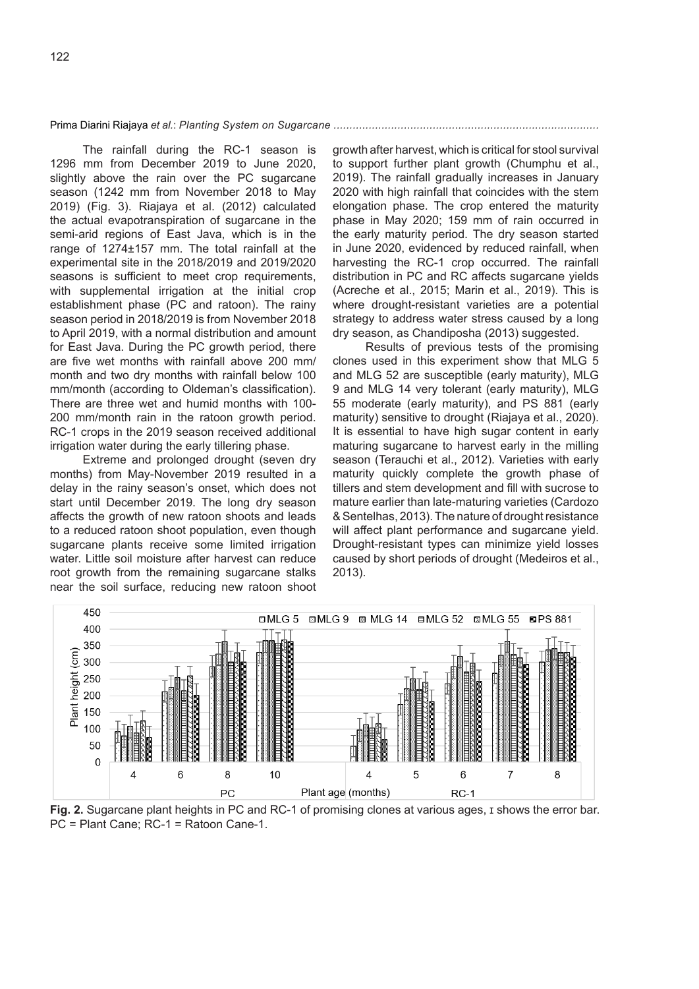The rainfall during the RC-1 season is 1296 mm from December 2019 to June 2020, slightly above the rain over the PC sugarcane season (1242 mm from November 2018 to May 2019) (Fig. 3). Riajaya et al. (2012) calculated the actual evapotranspiration of sugarcane in the semi-arid regions of East Java, which is in the range of 1274±157 mm. The total rainfall at the experimental site in the 2018/2019 and 2019/2020 seasons is sufficient to meet crop requirements, with supplemental irrigation at the initial crop establishment phase (PC and ratoon). The rainy season period in 2018/2019 is from November 2018 to April 2019, with a normal distribution and amount for East Java. During the PC growth period, there are five wet months with rainfall above 200 mm/ month and two dry months with rainfall below 100 mm/month (according to Oldeman's classification). There are three wet and humid months with 100- 200 mm/month rain in the ratoon growth period. RC-1 crops in the 2019 season received additional irrigation water during the early tillering phase.

Extreme and prolonged drought (seven dry months) from May-November 2019 resulted in a delay in the rainy season's onset, which does not start until December 2019. The long dry season affects the growth of new ratoon shoots and leads to a reduced ratoon shoot population, even though sugarcane plants receive some limited irrigation water. Little soil moisture after harvest can reduce root growth from the remaining sugarcane stalks near the soil surface, reducing new ratoon shoot growth after harvest, which is critical for stool survival to support further plant growth (Chumphu et al., 2019). The rainfall gradually increases in January 2020 with high rainfall that coincides with the stem elongation phase. The crop entered the maturity phase in May 2020; 159 mm of rain occurred in the early maturity period. The dry season started in June 2020, evidenced by reduced rainfall, when harvesting the RC-1 crop occurred. The rainfall distribution in PC and RC affects sugarcane yields (Acreche et al., 2015; Marin et al., 2019). This is where drought-resistant varieties are a potential strategy to address water stress caused by a long dry season, as Chandiposha (2013) suggested.

Results of previous tests of the promising clones used in this experiment show that MLG 5 and MLG 52 are susceptible (early maturity), MLG 9 and MLG 14 very tolerant (early maturity), MLG 55 moderate (early maturity), and PS 881 (early maturity) sensitive to drought (Riajaya et al., 2020). It is essential to have high sugar content in early maturing sugarcane to harvest early in the milling season (Terauchi et al., 2012). Varieties with early maturity quickly complete the growth phase of tillers and stem development and fill with sucrose to mature earlier than late-maturing varieties (Cardozo & Sentelhas, 2013). The nature of drought resistance will affect plant performance and sugarcane yield. Drought-resistant types can minimize yield losses caused by short periods of drought (Medeiros et al., 2013).



**Fig. 2.** Sugarcane plant heights in PC and RC-1 of promising clones at various ages, I shows the error bar. PC = Plant Cane; RC-1 = Ratoon Cane-1.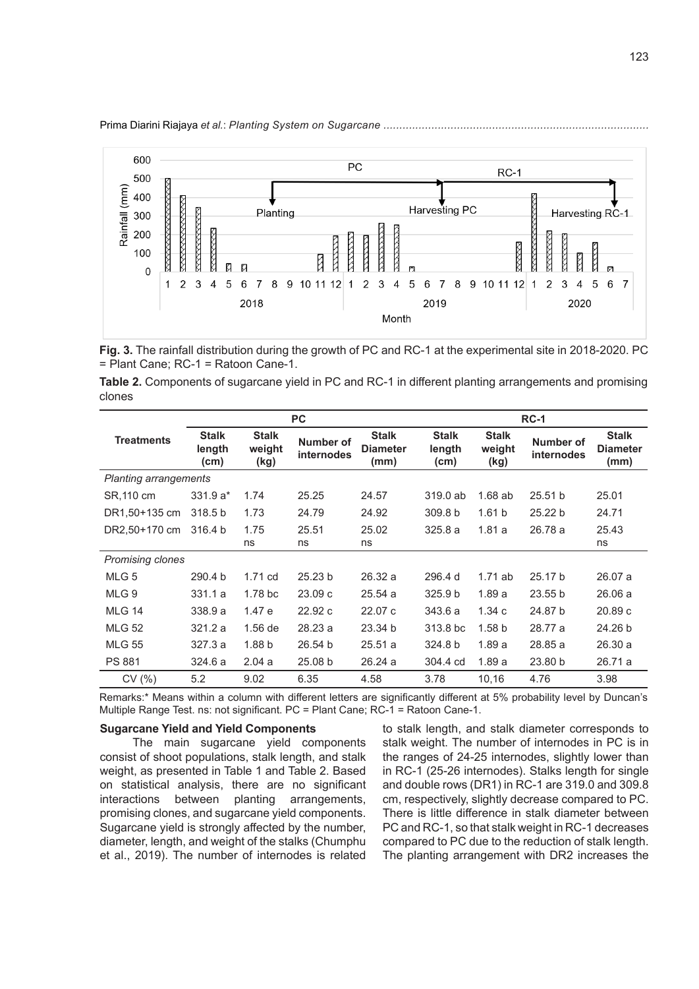Prima Diarini Riajaya *et al.*: *Planting System on Sugarcane ...................................................................................*



**Fig. 3.** The rainfall distribution during the growth of PC and RC-1 at the experimental site in 2018-2020. PC = Plant Cane; RC-1 = Ratoon Cane-1.

**Table 2.** Components of sugarcane yield in PC and RC-1 in different planting arrangements and promising clones

|                         |                                |                                | <b>PC</b>               |                                         | <b>RC-1</b>                    |                                |                         |                                         |  |
|-------------------------|--------------------------------|--------------------------------|-------------------------|-----------------------------------------|--------------------------------|--------------------------------|-------------------------|-----------------------------------------|--|
| <b>Treatments</b>       | <b>Stalk</b><br>length<br>(cm) | <b>Stalk</b><br>weight<br>(kg) | Number of<br>internodes | <b>Stalk</b><br><b>Diameter</b><br>(mm) | <b>Stalk</b><br>length<br>(cm) | <b>Stalk</b><br>weight<br>(kg) | Number of<br>internodes | <b>Stalk</b><br><b>Diameter</b><br>(mm) |  |
| Planting arrangements   |                                |                                |                         |                                         |                                |                                |                         |                                         |  |
| SR, 110 cm              | $331.9a*$                      | 1.74                           | 25.25                   | 24.57                                   | $319.0$ ab                     | $1.68$ ab                      | 25.51 b                 | 25.01                                   |  |
| DR1,50+135 cm           | 318.5 b                        | 1.73                           | 24.79                   | 24.92                                   | 309.8 b                        | 1.61 <sub>b</sub>              | 25.22 b                 | 24.71                                   |  |
| DR2.50+170 cm           | 316.4 b                        | 1.75                           | 25.51                   | 25.02                                   | 325.8a                         | 1.81a                          | 26.78 a                 | 25.43                                   |  |
|                         |                                | ns                             | ns                      | ns                                      |                                |                                |                         | ns                                      |  |
| <b>Promising clones</b> |                                |                                |                         |                                         |                                |                                |                         |                                         |  |
| MLG <sub>5</sub>        | 290.4 b                        | 1.71 cd                        | 25.23 <sub>b</sub>      | 26.32a                                  | 296.4 d                        | $1.71$ ab                      | 25.17 b                 | 26.07a                                  |  |
| MLG 9                   | 331.1a                         | 1.78 <sub>b</sub> c            | 23.09c                  | 25.54a                                  | 325.9 <sub>b</sub>             | 1.89a                          | 23.55 b                 | 26.06a                                  |  |
| <b>MLG 14</b>           | 338.9a                         | 1.47e                          | 22.92c                  | 22.07 c                                 | 343.6 a                        | 1.34c                          | 24.87 b                 | 20.89c                                  |  |
| <b>MLG 52</b>           | 321.2a                         | $1.56$ de                      | 28.23 a                 | 23.34 b                                 | 313.8 bc                       | 1.58 <sub>b</sub>              | 28.77 a                 | 24.26 b                                 |  |
| <b>MLG 55</b>           | 327.3 a                        | 1.88 <sub>b</sub>              | 26.54 b                 | 25.51a                                  | 324.8 b                        | 1.89a                          | 28.85 a                 | 26.30a                                  |  |
| <b>PS 881</b>           | 324.6a                         | 2.04a                          | 25.08 b                 | 26.24a                                  | 304.4 cd                       | 1.89a                          | 23.80 b                 | 26.71 a                                 |  |
| CV(%)                   | 5.2                            | 9.02                           | 6.35                    | 4.58                                    | 3.78                           | 10,16                          | 4.76                    | 3.98                                    |  |

Remarks:\* Means within a column with different letters are significantly different at 5% probability level by Duncan's Multiple Range Test. ns: not significant. PC = Plant Cane; RC-1 = Ratoon Cane-1.

## **Sugarcane Yield and Yield Components**

The main sugarcane yield components consist of shoot populations, stalk length, and stalk weight, as presented in Table 1 and Table 2. Based on statistical analysis, there are no significant interactions between planting arrangements, promising clones, and sugarcane yield components. Sugarcane yield is strongly affected by the number, diameter, length, and weight of the stalks (Chumphu et al., 2019). The number of internodes is related to stalk length, and stalk diameter corresponds to stalk weight. The number of internodes in PC is in the ranges of 24-25 internodes, slightly lower than in RC-1 (25-26 internodes). Stalks length for single and double rows (DR1) in RC-1 are 319.0 and 309.8 cm, respectively, slightly decrease compared to PC. There is little difference in stalk diameter between PC and RC-1, so that stalk weight in RC-1 decreases compared to PC due to the reduction of stalk length. The planting arrangement with DR2 increases the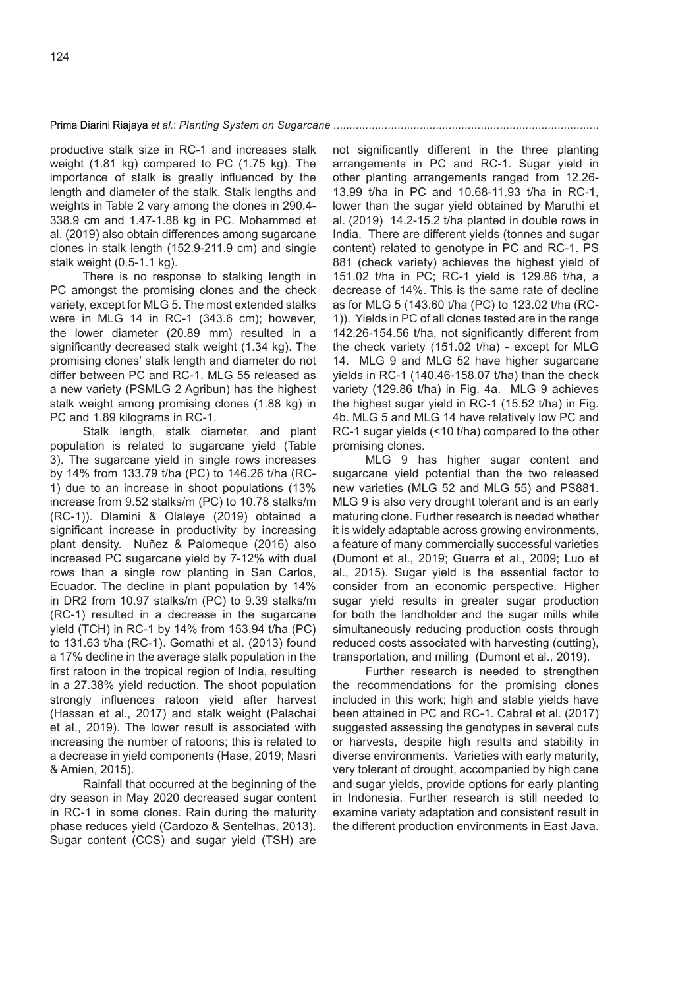productive stalk size in RC-1 and increases stalk weight (1.81 kg) compared to PC (1.75 kg). The importance of stalk is greatly influenced by the length and diameter of the stalk. Stalk lengths and weights in Table 2 vary among the clones in 290.4- 338.9 cm and 1.47-1.88 kg in PC. Mohammed et al. (2019) also obtain differences among sugarcane clones in stalk length (152.9-211.9 cm) and single stalk weight (0.5-1.1 kg).

There is no response to stalking length in PC amongst the promising clones and the check variety, except for MLG 5. The most extended stalks were in MLG 14 in RC-1 (343.6 cm); however, the lower diameter (20.89 mm) resulted in a significantly decreased stalk weight (1.34 kg). The promising clones' stalk length and diameter do not differ between PC and RC-1. MLG 55 released as a new variety (PSMLG 2 Agribun) has the highest stalk weight among promising clones (1.88 kg) in PC and 1.89 kilograms in RC-1.

Stalk length, stalk diameter, and plant population is related to sugarcane yield (Table 3). The sugarcane yield in single rows increases by 14% from 133.79 t/ha (PC) to 146.26 t/ha (RC-1) due to an increase in shoot populations (13% increase from 9.52 stalks/m (PC) to 10.78 stalks/m (RC-1)). Dlamini & Olaleye (2019) obtained a significant increase in productivity by increasing plant density. Nuñez & Palomeque (2016) also increased PC sugarcane yield by 7-12% with dual rows than a single row planting in San Carlos, Ecuador. The decline in plant population by 14% in DR2 from 10.97 stalks/m (PC) to 9.39 stalks/m (RC-1) resulted in a decrease in the sugarcane yield (TCH) in RC-1 by 14% from 153.94 t/ha (PC) to 131.63 t/ha (RC-1). Gomathi et al. (2013) found a 17% decline in the average stalk population in the first ratoon in the tropical region of India, resulting in a 27.38% yield reduction. The shoot population strongly influences ratoon yield after harvest (Hassan et al., 2017) and stalk weight (Palachai et al., 2019). The lower result is associated with increasing the number of ratoons; this is related to a decrease in yield components (Hase, 2019; Masri & Amien, 2015).

Rainfall that occurred at the beginning of the dry season in May 2020 decreased sugar content in RC-1 in some clones. Rain during the maturity phase reduces yield (Cardozo & Sentelhas, 2013). Sugar content (CCS) and sugar yield (TSH) are not significantly different in the three planting arrangements in PC and RC-1. Sugar yield in other planting arrangements ranged from 12.26- 13.99 t/ha in PC and 10.68-11.93 t/ha in RC-1, lower than the sugar yield obtained by Maruthi et al. (2019) 14.2-15.2 t/ha planted in double rows in India. There are different yields (tonnes and sugar content) related to genotype in PC and RC-1. PS 881 (check variety) achieves the highest yield of 151.02 t/ha in PC; RC-1 yield is 129.86 t/ha, a decrease of 14%. This is the same rate of decline as for MLG 5 (143.60 t/ha (PC) to 123.02 t/ha (RC-1)). Yields in PC of all clones tested are in the range 142.26-154.56 t/ha, not significantly different from the check variety (151.02 t/ha) - except for MLG 14. MLG 9 and MLG 52 have higher sugarcane yields in RC-1 (140.46-158.07 t/ha) than the check variety (129.86 t/ha) in Fig. 4a. MLG 9 achieves the highest sugar yield in RC-1 (15.52 t/ha) in Fig. 4b. MLG 5 and MLG 14 have relatively low PC and RC-1 sugar yields (<10 t/ha) compared to the other promising clones.

MLG 9 has higher sugar content and sugarcane yield potential than the two released new varieties (MLG 52 and MLG 55) and PS881. MLG 9 is also very drought tolerant and is an early maturing clone. Further research is needed whether it is widely adaptable across growing environments, a feature of many commercially successful varieties (Dumont et al., 2019; Guerra et al., 2009; Luo et al., 2015). Sugar yield is the essential factor to consider from an economic perspective. Higher sugar yield results in greater sugar production for both the landholder and the sugar mills while simultaneously reducing production costs through reduced costs associated with harvesting (cutting), transportation, and milling (Dumont et al., 2019).

Further research is needed to strengthen the recommendations for the promising clones included in this work; high and stable yields have been attained in PC and RC-1. Cabral et al. (2017) suggested assessing the genotypes in several cuts or harvests, despite high results and stability in diverse environments. Varieties with early maturity, very tolerant of drought, accompanied by high cane and sugar yields, provide options for early planting in Indonesia. Further research is still needed to examine variety adaptation and consistent result in the different production environments in East Java.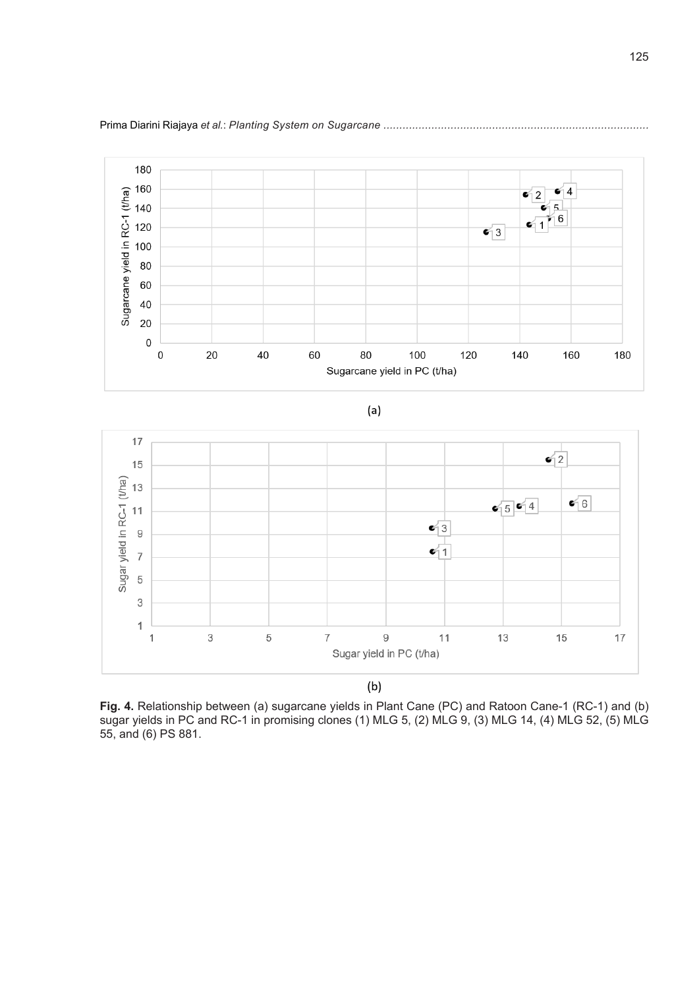

 $(a)$ 



 $(b)$ 

**Fig. 4.** Relationship between (a) sugarcane yields in Plant Cane (PC) and Ratoon Cane-1 (RC-1) and (b) sugar yields in PC and RC-1 in promising clones (1) MLG 5, (2) MLG 9, (3) MLG 14, (4) MLG 52, (5) MLG 55, and (6) PS 881.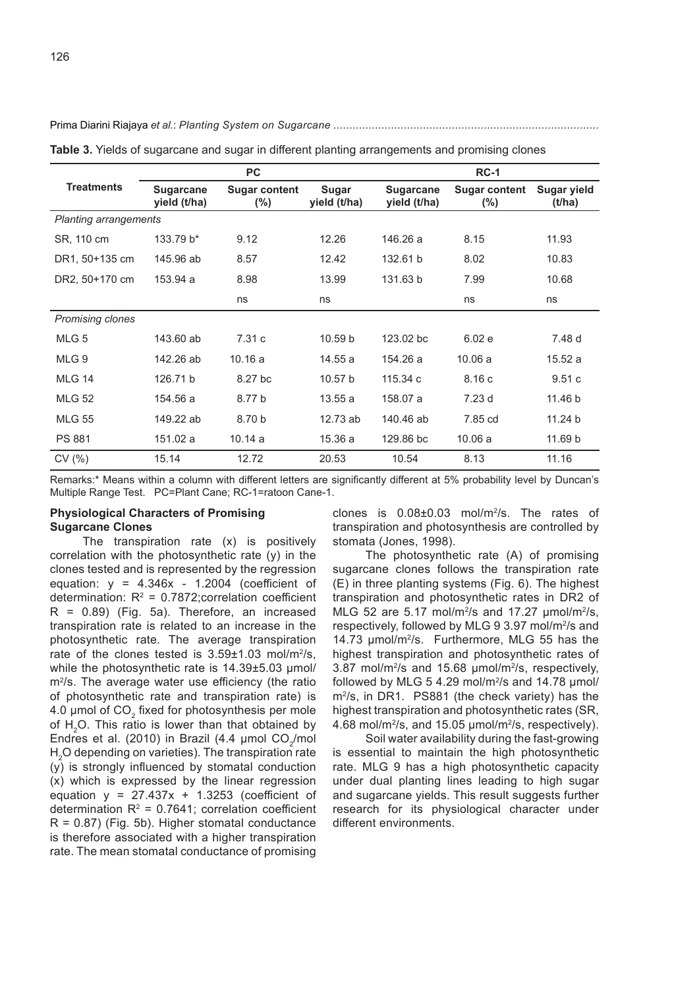|                              |                                  | <b>PC</b>                      |                              | $RC-1$                           |                                |                              |  |
|------------------------------|----------------------------------|--------------------------------|------------------------------|----------------------------------|--------------------------------|------------------------------|--|
| <b>Treatments</b>            | <b>Sugarcane</b><br>yield (t/ha) | <b>Sugar content</b><br>$(\%)$ | <b>Sugar</b><br>yield (t/ha) | <b>Sugarcane</b><br>yield (t/ha) | <b>Sugar content</b><br>$(\%)$ | <b>Sugar yield</b><br>(t/ha) |  |
| <b>Planting arrangements</b> |                                  |                                |                              |                                  |                                |                              |  |
| SR, 110 cm                   | 133.79 b*                        | 9.12                           | 12.26                        | 146.26 a                         | 8.15                           | 11.93                        |  |
| DR1, 50+135 cm               | 145.96 ab                        | 8.57                           | 12.42                        | 132.61 b                         | 8.02                           | 10.83                        |  |
| DR2, 50+170 cm               | 153.94 a                         | 8.98                           | 13.99                        | 131.63 b                         | 7.99                           | 10.68                        |  |
|                              |                                  | ns                             | ns                           |                                  | ns                             | ns                           |  |
| Promising clones             |                                  |                                |                              |                                  |                                |                              |  |
| MLG <sub>5</sub>             | 143.60 ab                        | 7.31 c                         | 10.59 <sub>b</sub>           | 123.02 bc                        | 6.02e                          | 7.48 d                       |  |
| MLG <sub>9</sub>             | 142.26 ab                        | 10.16a                         | 14.55 a                      | 154.26 a                         | 10.06a                         | 15.52a                       |  |
| <b>MLG 14</b>                | 126.71 b                         | 8.27 bc                        | 10.57 b                      | 115.34 c                         | 8.16c                          | 9.51c                        |  |
| <b>MLG 52</b>                | 154.56 a                         | 8.77 b                         | 13.55a                       | 158.07 a                         | 7.23d                          | 11.46 b                      |  |
| <b>MLG 55</b>                | 149.22 ab                        | 8.70 b                         | 12.73 ab                     | 140.46 ab                        | 7.85 cd                        | 11.24 b                      |  |
| PS 881                       | 151.02 a                         | 10.14a                         | 15.36 a                      | 129.86 bc                        | 10.06a                         | 11.69 b                      |  |
| CV(%)                        | 15.14                            | 12.72                          | 20.53                        | 10.54                            | 8.13                           | 11.16                        |  |

**Table 3.** Yields of sugarcane and sugar in different planting arrangements and promising clones

Remarks:\* Means within a column with different letters are significantly different at 5% probability level by Duncan's Multiple Range Test. PC=Plant Cane; RC-1=ratoon Cane-1.

# **Physiological Characters of Promising Sugarcane Clones**

The transpiration rate (x) is positively correlation with the photosynthetic rate (y) in the clones tested and is represented by the regression equation:  $y = 4.346x - 1.2004$  (coefficient of determination:  $R^2 = 0.7872$ ; correlation coefficient  $R = 0.89$ ) (Fig. 5a). Therefore, an increased transpiration rate is related to an increase in the photosynthetic rate. The average transpiration rate of the clones tested is  $3.59\pm1.03$  mol/m<sup>2</sup>/s, while the photosynthetic rate is 14.39±5.03 umol/ m<sup>2</sup>/s. The average water use efficiency (the ratio of photosynthetic rate and transpiration rate) is 4.0 µmol of CO $_{\textrm{\tiny{2}}}$  fixed for photosynthesis per mole of  $H_2$ O. This ratio is lower than that obtained by Endres et al. (2010) in Brazil (4.4  $\mu$ mol CO $_2$ /mol  ${\sf H_2O}$  depending on varieties). The transpiration rate  $(v)$  is strongly influenced by stomatal conduction (x) which is expressed by the linear regression equation  $y = 27.437x + 1.3253$  (coefficient of determination  $R^2 = 0.7641$ ; correlation coefficient  $R = 0.87$ ) (Fig. 5b). Higher stomatal conductance is therefore associated with a higher transpiration rate. The mean stomatal conductance of promising

clones is 0.08±0.03 mol/m<sup>2</sup> /s. The rates of transpiration and photosynthesis are controlled by stomata (Jones, 1998).

The photosynthetic rate (A) of promising sugarcane clones follows the transpiration rate (E) in three planting systems (Fig. 6). The highest transpiration and photosynthetic rates in DR2 of MLG 52 are 5.17 mol/m<sup>2</sup>/s and 17.27  $\mu$ mol/m<sup>2</sup>/s, respectively, followed by MLG 9 3.97 mol/m<sup>2</sup>/s and 14.73 µmol/m<sup>2</sup>/s. Furthermore, MLG 55 has the highest transpiration and photosynthetic rates of 3.87 mol/m<sup>2</sup>/s and 15.68  $\mu$ mol/m<sup>2</sup>/s, respectively, followed by MLG 5 4.29 mol/m $^{2}$ /s and 14.78  $\mu$ mol/ m2 /s, in DR1. PS881 (the check variety) has the highest transpiration and photosynthetic rates (SR, 4.68 mol/m<sup>2</sup> /s, and 15.05 µmol/m<sup>2</sup> /s, respectively).

Soil water availability during the fast-growing is essential to maintain the high photosynthetic rate. MLG 9 has a high photosynthetic capacity under dual planting lines leading to high sugar and sugarcane yields. This result suggests further research for its physiological character under different environments.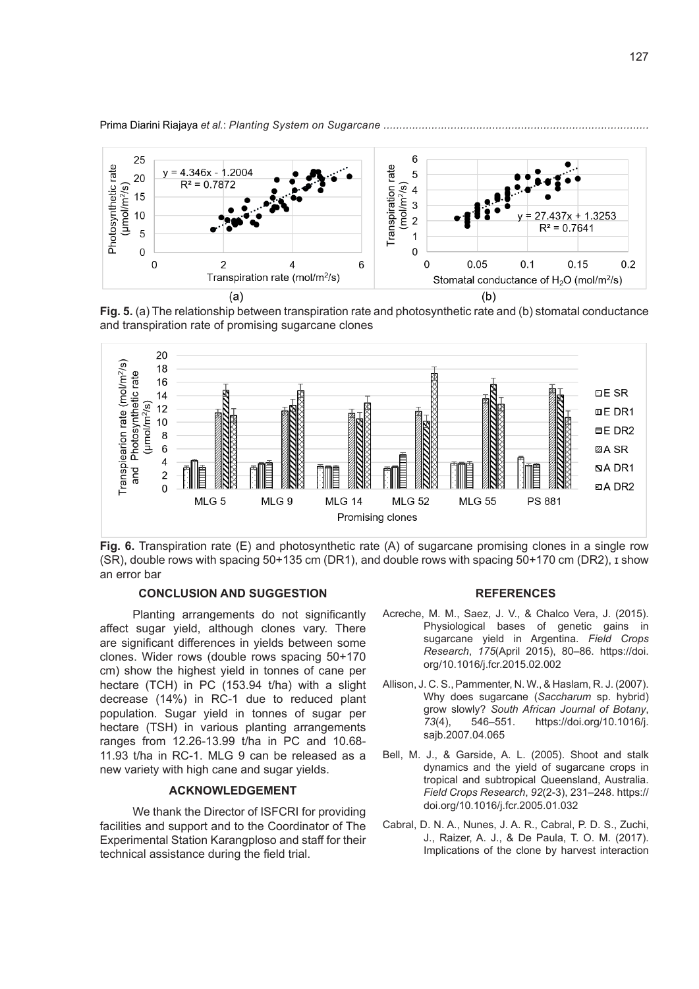

**Fig. 5.** (a) The relationship between transpiration rate and photosynthetic rate and (b) stomatal conductance and transpiration rate of promising sugarcane clones



**Fig. 6.** Transpiration rate (E) and photosynthetic rate (A) of sugarcane promising clones in a single row (SR), double rows with spacing 50+135 cm (DR1), and double rows with spacing 50+170 cm (DR2), ɪ show an error bar

## **CONCLUSION AND SUGGESTION**

Planting arrangements do not significantly affect sugar yield, although clones vary. There are significant differences in yields between some clones. Wider rows (double rows spacing 50+170 cm) show the highest yield in tonnes of cane per hectare (TCH) in PC (153.94 t/ha) with a slight decrease (14%) in RC-1 due to reduced plant population. Sugar yield in tonnes of sugar per hectare (TSH) in various planting arrangements ranges from 12.26-13.99 t/ha in PC and 10.68- 11.93 t/ha in RC-1. MLG 9 can be released as a new variety with high cane and sugar yields.

# **ACKNOWLEDGEMENT**

We thank the Director of ISFCRI for providing facilities and support and to the Coordinator of The Experimental Station Karangploso and staff for their technical assistance during the field trial.

#### **REFERENCES**

- Acreche, M. M., Saez, J. V., & Chalco Vera, J. (2015). Physiological bases of genetic gains in sugarcane yield in Argentina. *Field Crops Research*, *175*(April 2015), 80–86. https://doi. org/10.1016/j.fcr.2015.02.002
- Allison, J. C. S., Pammenter, N. W., & Haslam, R. J. (2007). Why does sugarcane (*Saccharum* sp. hybrid) grow slowly? *South African Journal of Botany*, *73*(4), 546–551. https://doi.org/10.1016/j. sajb.2007.04.065
- Bell, M. J., & Garside, A. L. (2005). Shoot and stalk dynamics and the yield of sugarcane crops in tropical and subtropical Queensland, Australia. *Field Crops Research*, *92*(2-3), 231–248. https:// doi.org/10.1016/j.fcr.2005.01.032
- Cabral, D. N. A., Nunes, J. A. R., Cabral, P. D. S., Zuchi, J., Raizer, A. J., & De Paula, T. O. M. (2017). Implications of the clone by harvest interaction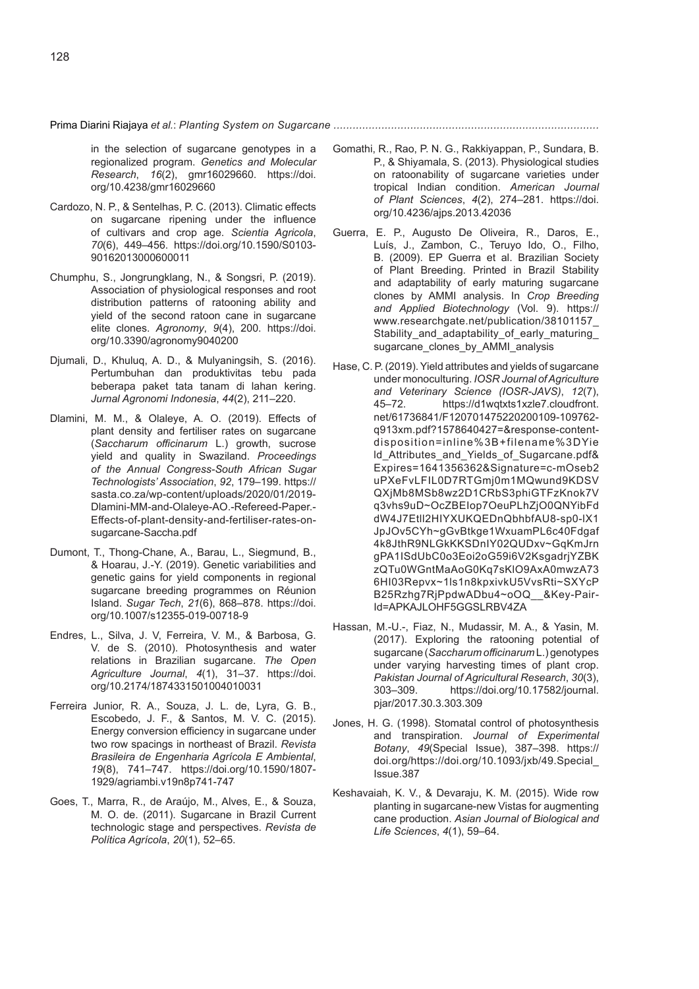in the selection of sugarcane genotypes in a regionalized program. *Genetics and Molecular Research*, *16*(2), gmr16029660. https://doi. org/10.4238/gmr16029660

- Cardozo, N. P., & Sentelhas, P. C. (2013). Climatic effects on sugarcane ripening under the influence of cultivars and crop age. *Scientia Agricola*, *70*(6), 449–456. https://doi.org/10.1590/S0103- 90162013000600011
- Chumphu, S., Jongrungklang, N., & Songsri, P. (2019). Association of physiological responses and root distribution patterns of ratooning ability and yield of the second ratoon cane in sugarcane elite clones. *Agronomy*, *9*(4), 200. https://doi. org/10.3390/agronomy9040200
- Djumali, D., Khuluq, A. D., & Mulyaningsih, S. (2016). Pertumbuhan dan produktivitas tebu pada beberapa paket tata tanam di lahan kering. *Jurnal Agronomi Indonesia*, *44*(2), 211–220.
- Dlamini, M. M., & Olaleye, A. O. (2019). Effects of plant density and fertiliser rates on sugarcane (*Saccharum officinarum* L.) growth, sucrose yield and quality in Swaziland. *Proceedings of the Annual Congress-South African Sugar Technologists' Association*, *92*, 179–199. https:// sasta.co.za/wp-content/uploads/2020/01/2019- Dlamini-MM-and-Olaleye-AO.-Refereed-Paper.- Effects-of-plant-density-and-fertiliser-rates-onsugarcane-Saccha.pdf
- Dumont, T., Thong-Chane, A., Barau, L., Siegmund, B., & Hoarau, J.-Y. (2019). Genetic variabilities and genetic gains for yield components in regional sugarcane breeding programmes on Réunion Island. *Sugar Tech*, *21*(6), 868–878. https://doi. org/10.1007/s12355-019-00718-9
- Endres, L., Silva, J. V, Ferreira, V. M., & Barbosa, G. V. de S. (2010). Photosynthesis and water relations in Brazilian sugarcane. *The Open Agriculture Journal*, *4*(1), 31–37. https://doi. org/10.2174/1874331501004010031
- Ferreira Junior, R. A., Souza, J. L. de, Lyra, G. B., Escobedo, J. F., & Santos, M. V. C. (2015). Energy conversion efficiency in sugarcane under two row spacings in northeast of Brazil. *Revista Brasileira de Engenharia Agrícola E Ambiental*, *19*(8), 741–747. https://doi.org/10.1590/1807- 1929/agriambi.v19n8p741-747
- Goes, T., Marra, R., de Araújo, M., Alves, E., & Souza, M. O. de. (2011). Sugarcane in Brazil Current technologic stage and perspectives. *Revista de Política Agrícola*, *20*(1), 52–65.
- Gomathi, R., Rao, P. N. G., Rakkiyappan, P., Sundara, B. P., & Shiyamala, S. (2013). Physiological studies on ratoonability of sugarcane varieties under tropical Indian condition. *American Journal of Plant Sciences*, *4*(2), 274–281. https://doi. org/10.4236/ajps.2013.42036
- Guerra, E. P., Augusto De Oliveira, R., Daros, E., Luís, J., Zambon, C., Teruyo Ido, O., Filho, B. (2009). EP Guerra et al. Brazilian Society of Plant Breeding. Printed in Brazil Stability and adaptability of early maturing sugarcane clones by AMMI analysis. In *Crop Breeding and Applied Biotechnology* (Vol. 9). https:// www.researchgate.net/publication/38101157\_ Stability and adaptability of early maturing sugarcane\_clones\_by\_AMMI\_analysis
- Hase, C. P. (2019). Yield attributes and yields of sugarcane under monoculturing. *IOSR Journal of Agriculture and Veterinary Science (IOSR-JAVS)*, *12*(7), 45–72. https://d1wqtxts1xzle7.cloudfront. net/61736841/F120701475220200109-109762 q913xm.pdf?1578640427=&response-contentdisposition=inline%3B+filename%3DYie ld\_Attributes\_and\_Yields\_of\_Sugarcane.pdf& Expires=1641356362&Signature=c-mOseb2 uPXeFvLFIL0D7RTGmj0m1MQwund9KDSV QXjMb8MSb8wz2D1CRbS3phiGTFzKnok7V q3vhs9uD~OcZBEIop7OeuPLhZjO0QNYibFd dW4J7Etll2HIYXUKQEDnQbhbfAU8-sp0-lX1 JpJOv5CYh~gGvBtkge1WxuamPL6c40Fdgaf 4k8JthR9NLGkKKSDnIY02QUDxv~GqKmJrn gPA1ISdUbC0o3Eoi2oG59i6V2KsgadrjYZBK zQTu0WGntMaAoG0Kq7sKlO9AxA0mwzA73 6HI03Repvx~1ls1n8kpxivkU5VvsRti~SXYcP B25Rzhg7RjPpdwADbu4~oOQ\_\_&Key-Pair-Id=APKAJLOHF5GGSLRBV4ZA
- Hassan, M.-U.-, Fiaz, N., Mudassir, M. A., & Yasin, M. (2017). Exploring the ratooning potential of sugarcane (*Saccharum officinarum* L.) genotypes under varying harvesting times of plant crop. *Pakistan Journal of Agricultural Research*, *30*(3), https://doi.org/10.17582/journal. pjar/2017.30.3.303.309
- Jones, H. G. (1998). Stomatal control of photosynthesis and transpiration. *Journal of Experimental Botany*, *49*(Special Issue), 387–398. https:// doi.org/https://doi.org/10.1093/jxb/49.Special\_ Issue.387
- Keshavaiah, K. V., & Devaraju, K. M. (2015). Wide row planting in sugarcane-new Vistas for augmenting cane production. *Asian Journal of Biological and Life Sciences*, *4*(1), 59–64.